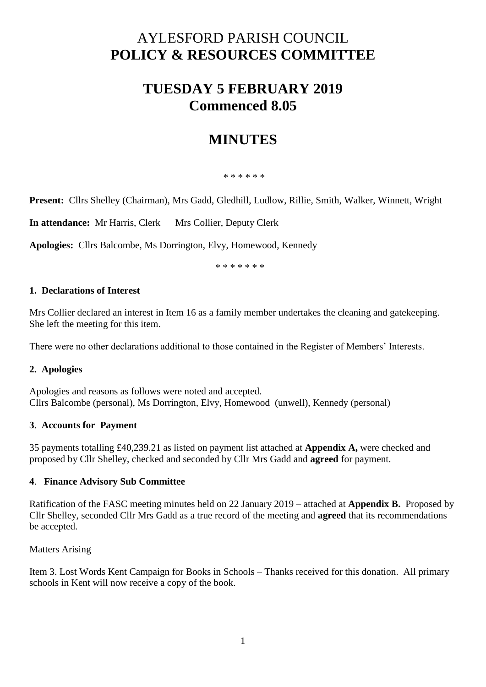# AYLESFORD PARISH COUNCIL **POLICY & RESOURCES COMMITTEE**

## **TUESDAY 5 FEBRUARY 2019 Commenced 8.05**

## **MINUTES**

\* \* \* \* \* \*

**Present:** Cllrs Shelley (Chairman), Mrs Gadd, Gledhill, Ludlow, Rillie, Smith, Walker, Winnett, Wright

**In attendance:** Mr Harris, Clerk Mrs Collier, Deputy Clerk

**Apologies:** Cllrs Balcombe, Ms Dorrington, Elvy, Homewood, Kennedy

\* \* \* \* \* \* \*

#### **1. Declarations of Interest**

Mrs Collier declared an interest in Item 16 as a family member undertakes the cleaning and gatekeeping. She left the meeting for this item.

There were no other declarations additional to those contained in the Register of Members' Interests.

## **2. Apologies**

Apologies and reasons as follows were noted and accepted. Cllrs Balcombe (personal), Ms Dorrington, Elvy, Homewood (unwell), Kennedy (personal)

#### **3**. **Accounts for Payment**

35 payments totalling £40,239.21 as listed on payment list attached at **Appendix A,** were checked and proposed by Cllr Shelley, checked and seconded by Cllr Mrs Gadd and **agreed** for payment.

#### **4**. **Finance Advisory Sub Committee**

Ratification of the FASC meeting minutes held on 22 January 2019 – attached at **Appendix B.** Proposed by Cllr Shelley, seconded Cllr Mrs Gadd as a true record of the meeting and **agreed** that its recommendations be accepted.

Matters Arising

Item 3. Lost Words Kent Campaign for Books in Schools – Thanks received for this donation. All primary schools in Kent will now receive a copy of the book.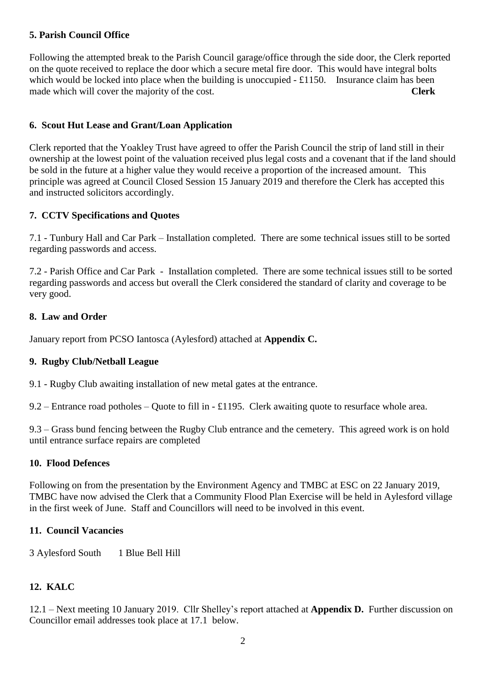### **5. Parish Council Office**

Following the attempted break to the Parish Council garage/office through the side door, the Clerk reported on the quote received to replace the door which a secure metal fire door. This would have integral bolts which would be locked into place when the building is unoccupied  $-\pounds1150$ . Insurance claim has been made which will cover the majority of the cost. **Clerk**

## **6. Scout Hut Lease and Grant/Loan Application**

Clerk reported that the Yoakley Trust have agreed to offer the Parish Council the strip of land still in their ownership at the lowest point of the valuation received plus legal costs and a covenant that if the land should be sold in the future at a higher value they would receive a proportion of the increased amount. This principle was agreed at Council Closed Session 15 January 2019 and therefore the Clerk has accepted this and instructed solicitors accordingly.

## **7. CCTV Specifications and Quotes**

7.1 - Tunbury Hall and Car Park – Installation completed. There are some technical issues still to be sorted regarding passwords and access.

7.2 - Parish Office and Car Park - Installation completed. There are some technical issues still to be sorted regarding passwords and access but overall the Clerk considered the standard of clarity and coverage to be very good.

#### **8. Law and Order**

January report from PCSO Iantosca (Aylesford) attached at **Appendix C.**

#### **9. Rugby Club/Netball League**

9.1 - Rugby Club awaiting installation of new metal gates at the entrance.

9.2 – Entrance road potholes – Quote to fill in - £1195. Clerk awaiting quote to resurface whole area.

9.3 – Grass bund fencing between the Rugby Club entrance and the cemetery. This agreed work is on hold until entrance surface repairs are completed

#### **10. Flood Defences**

Following on from the presentation by the Environment Agency and TMBC at ESC on 22 January 2019, TMBC have now advised the Clerk that a Community Flood Plan Exercise will be held in Aylesford village in the first week of June. Staff and Councillors will need to be involved in this event.

#### **11. Council Vacancies**

3 Aylesford South 1 Blue Bell Hill

## **12. KALC**

12.1 – Next meeting 10 January 2019. Cllr Shelley's report attached at **Appendix D.** Further discussion on Councillor email addresses took place at 17.1 below.